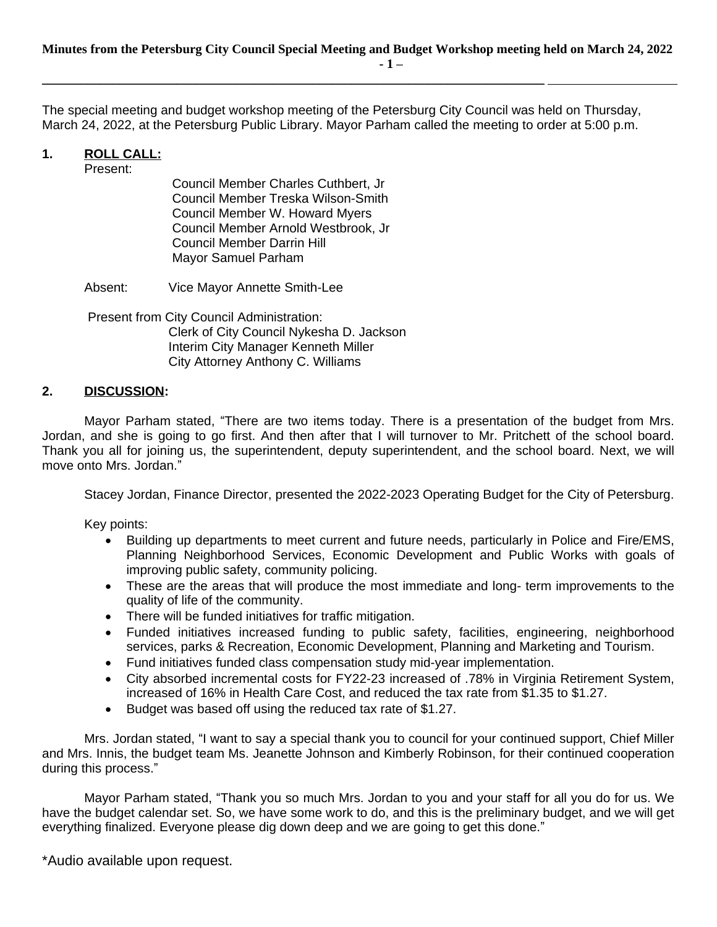The special meeting and budget workshop meeting of the Petersburg City Council was held on Thursday, March 24, 2022, at the Petersburg Public Library. Mayor Parham called the meeting to order at 5:00 p.m.

## **1. ROLL CALL:**

Present:

Council Member Charles Cuthbert, Jr Council Member Treska Wilson-Smith Council Member W. Howard Myers Council Member Arnold Westbrook, Jr Council Member Darrin Hill Mayor Samuel Parham

**\_\_\_\_\_\_\_\_\_\_\_\_\_\_\_\_\_\_\_\_\_\_\_\_\_\_\_\_\_\_\_\_\_\_\_\_\_\_\_\_\_\_\_\_\_\_\_\_\_\_\_\_\_\_\_\_\_\_\_\_\_\_\_\_\_\_\_\_\_\_\_\_\_\_\_\_\_\_** 

Absent: Vice Mayor Annette Smith-Lee

Present from City Council Administration: Clerk of City Council Nykesha D. Jackson Interim City Manager Kenneth Miller City Attorney Anthony C. Williams

## **2. DISCUSSION:**

Mayor Parham stated, "There are two items today. There is a presentation of the budget from Mrs. Jordan, and she is going to go first. And then after that I will turnover to Mr. Pritchett of the school board. Thank you all for joining us, the superintendent, deputy superintendent, and the school board. Next, we will move onto Mrs. Jordan."

Stacey Jordan, Finance Director, presented the 2022-2023 Operating Budget for the City of Petersburg.

Key points:

- Building up departments to meet current and future needs, particularly in Police and Fire/EMS, Planning Neighborhood Services, Economic Development and Public Works with goals of improving public safety, community policing.
- These are the areas that will produce the most immediate and long- term improvements to the quality of life of the community.
- There will be funded initiatives for traffic mitigation.
- Funded initiatives increased funding to public safety, facilities, engineering, neighborhood services, parks & Recreation, Economic Development, Planning and Marketing and Tourism.
- Fund initiatives funded class compensation study mid-year implementation.
- City absorbed incremental costs for FY22-23 increased of .78% in Virginia Retirement System, increased of 16% in Health Care Cost, and reduced the tax rate from \$1.35 to \$1.27.
- Budget was based off using the reduced tax rate of \$1.27.

Mrs. Jordan stated, "I want to say a special thank you to council for your continued support, Chief Miller and Mrs. Innis, the budget team Ms. Jeanette Johnson and Kimberly Robinson, for their continued cooperation during this process."

Mayor Parham stated, "Thank you so much Mrs. Jordan to you and your staff for all you do for us. We have the budget calendar set. So, we have some work to do, and this is the preliminary budget, and we will get everything finalized. Everyone please dig down deep and we are going to get this done."

\*Audio available upon request.